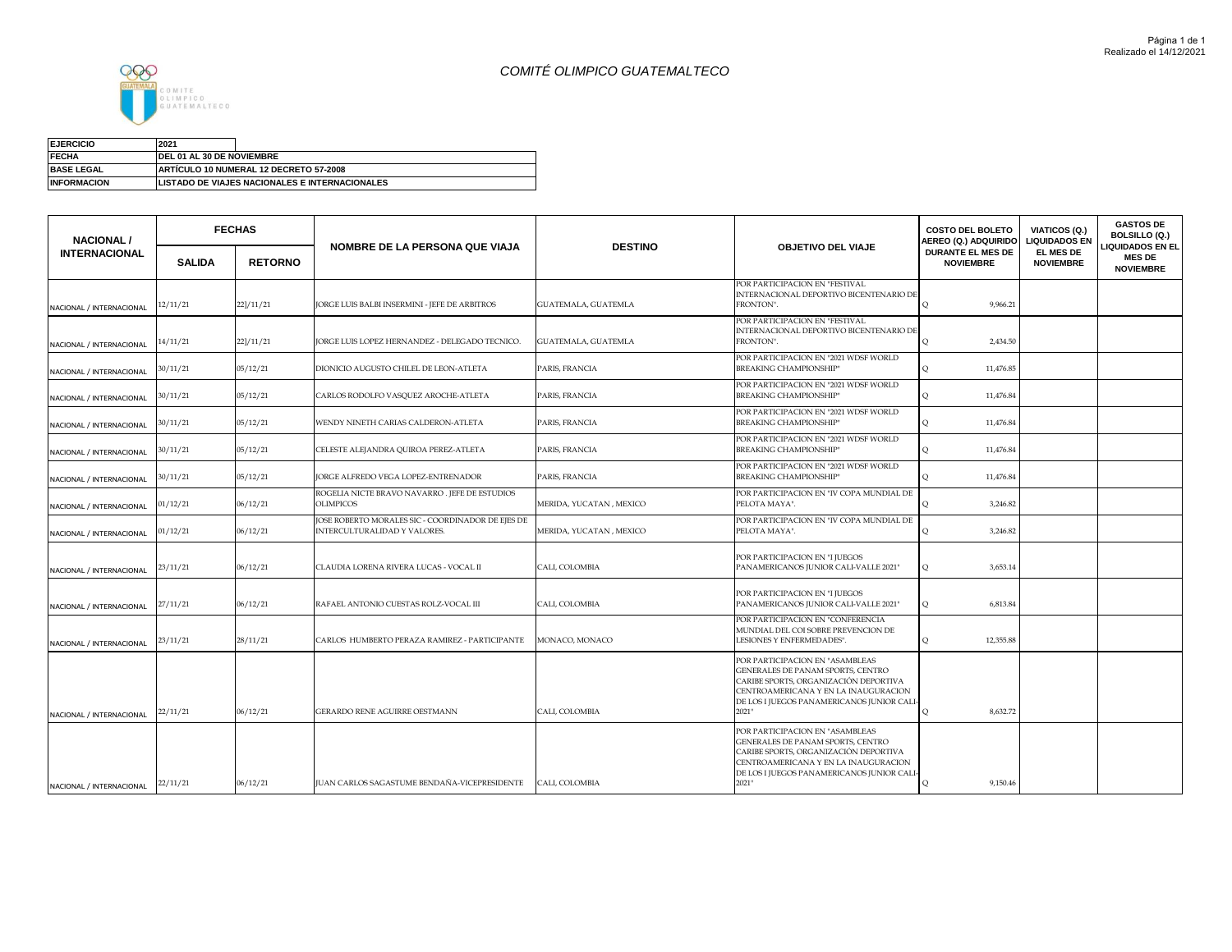## *COMITÉ OLIMPICO GUATEMALTECO*



Suma de MONTO

| <b>EJERCICIO</b>   | 2021                      |                                                |
|--------------------|---------------------------|------------------------------------------------|
| <b>FECHA</b>       | DEL 01 AL 30 DE NOVIEMBRE |                                                |
| <b>BASE LEGAL</b>  |                           | ARTICULO 10 NUMERAL 12 DECRETO 57-2008         |
| <b>INFORMACION</b> |                           | LISTADO DE VIAJES NACIONALES E INTERNACIONALES |

| <b>NACIONAL /</b>        |               | <b>FECHAS</b>  | NOMBRE DE LA PERSONA QUE VIAJA                                                   | <b>DESTINO</b>             | <b>OBJETIVO DEL VIAJE</b>                                                                                                                                                                                   | <b>COSTO DEL BOLETO</b><br>AEREO (Q.) ADQUIRIDO | VIATICOS (Q.)<br><b>LIQUIDADOS EN</b> | <b>GASTOS DE</b><br><b>BOLSILLO (Q.)</b><br><b>LIQUIDADOS EN EL</b> |
|--------------------------|---------------|----------------|----------------------------------------------------------------------------------|----------------------------|-------------------------------------------------------------------------------------------------------------------------------------------------------------------------------------------------------------|-------------------------------------------------|---------------------------------------|---------------------------------------------------------------------|
| <b>INTERNACIONAL</b>     | <b>SALIDA</b> | <b>RETORNO</b> |                                                                                  |                            |                                                                                                                                                                                                             | <b>DURANTE EL MES DE</b><br><b>NOVIEMBRE</b>    | EL MES DE<br><b>NOVIEMBRE</b>         | <b>MES DE</b><br><b>NOVIEMBRE</b>                                   |
| NACIONAL / INTERNACIONAL | 12/11/21      | 22]/11/21      | ORGE LUIS BALBI INSERMINI - JEFE DE ARBITROS                                     | GUATEMALA, GUATEMLA        | POR PARTICIPACION EN "FESTIVAL<br>INTERNACIONAL DEPORTIVO BICENTENARIO DI<br>FRONTON".                                                                                                                      | 9,966.21<br>$\Omega$                            |                                       |                                                                     |
| NACIONAL / INTERNACIONAL | 14/11/21      | 22]/11/21      | ORGE LUIS LOPEZ HERNANDEZ - DELEGADO TECNICO.                                    | <b>GUATEMALA, GUATEMLA</b> | POR PARTICIPACION EN "FESTIVAL<br>INTERNACIONAL DEPORTIVO BICENTENARIO DI<br>FRONTON".                                                                                                                      | 2,434.50<br>$\circ$                             |                                       |                                                                     |
| NACIONAL / INTERNACIONAL | 30/11/21      | 05/12/21       | DIONICIO AUGUSTO CHILEL DE LEON-ATLETA                                           | PARIS, FRANCIA             | POR PARTICIPACION EN "2021 WDSF WORLD<br><b>BREAKING CHAMPIONSHIP"</b>                                                                                                                                      | 11,476.85<br>$\circ$                            |                                       |                                                                     |
| NACIONAL / INTERNACIONAL | 30/11/21      | 05/12/21       | CARLOS RODOLFO VASQUEZ AROCHE-ATLETA                                             | PARIS, FRANCIA             | POR PARTICIPACION EN "2021 WDSF WORLD<br><b>BREAKING CHAMPIONSHIP"</b>                                                                                                                                      | 11,476.84<br>$\circ$                            |                                       |                                                                     |
| NACIONAL / INTERNACIONAL | 30/11/21      | 05/12/21       | WENDY NINETH CARIAS CALDERON-ATLETA                                              | PARIS, FRANCIA             | POR PARTICIPACION EN "2021 WDSF WORLD<br><b>BREAKING CHAMPIONSHIP"</b>                                                                                                                                      | 11,476.84<br>$\circ$                            |                                       |                                                                     |
| NACIONAL / INTERNACIONAL | 30/11/21      | 05/12/21       | CELESTE ALEJANDRA QUIROA PEREZ-ATLETA                                            | PARIS, FRANCIA             | POR PARTICIPACION EN "2021 WDSF WORLD<br><b>BREAKING CHAMPIONSHIP"</b>                                                                                                                                      | 11,476.84<br>$\circ$                            |                                       |                                                                     |
| NACIONAL / INTERNACIONAL | 30/11/21      | 05/12/21       | ORGE ALFREDO VEGA LOPEZ-ENTRENADOR                                               | PARIS, FRANCIA             | POR PARTICIPACION EN "2021 WDSF WORLD<br><b>BREAKING CHAMPIONSHIP"</b>                                                                                                                                      | 11,476.84<br>$\circ$                            |                                       |                                                                     |
| NACIONAL / INTERNACIONAL | 01/12/21      | 06/12/21       | ROGELIA NICTE BRAVO NAVARRO. JEFE DE ESTUDIOS<br>OLIMPICOS                       | MERIDA, YUCATAN , MEXICO   | POR PARTICIPACION EN "IV COPA MUNDIAL DE<br>PELOTA MAYA".                                                                                                                                                   | 3,246.82<br>$\circ$                             |                                       |                                                                     |
| NACIONAL / INTERNACIONAL | 01/12/21      | 06/12/21       | OSE ROBERTO MORALES SIC - COORDINADOR DE EJES DE<br>INTERCULTURALIDAD Y VALORES. | MERIDA, YUCATAN , MEXICO   | POR PARTICIPACION EN "IV COPA MUNDIAL DE<br>PELOTA MAYA".                                                                                                                                                   | 3,246.82<br>$\circ$                             |                                       |                                                                     |
| NACIONAL / INTERNACIONAL | 23/11/21      | 06/12/21       | CLAUDIA LORENA RIVERA LUCAS - VOCAL II                                           | CALI, COLOMBIA             | POR PARTICIPACION EN "I JUEGOS<br>PANAMERICANOS JUNIOR CALI-VALLE 2021"                                                                                                                                     | 3,653.14<br>$\circ$                             |                                       |                                                                     |
| NACIONAL / INTERNACIONAL | 27/11/21      | 06/12/21       | RAFAEL ANTONIO CUESTAS ROLZ-VOCAL III                                            | CALI, COLOMBIA             | POR PARTICIPACION EN "I JUEGOS<br>PANAMERICANOS JUNIOR CALI-VALLE 2021"                                                                                                                                     | 6,813.84<br>$\circ$                             |                                       |                                                                     |
| NACIONAL / INTERNACIONAL | 23/11/21      | 28/11/21       | CARLOS HUMBERTO PERAZA RAMIREZ - PARTICIPANTE                                    | MONACO, MONACO             | POR PARTICIPACION EN "CONFERENCIA<br>MUNDIAL DEL COI SOBRE PREVENCION DE<br>LESIONES Y ENFERMEDADES".                                                                                                       | 12,355.88<br>$\circ$                            |                                       |                                                                     |
| NACIONAL / INTERNACIONAL | 22/11/21      | 06/12/21       | GERARDO RENE AGUIRRE OESTMANN                                                    | CALI, COLOMBIA             | POR PARTICIPACION EN "ASAMBLEAS<br>GENERALES DE PANAM SPORTS, CENTRO<br>CARIBE SPORTS, ORGANIZACIÓN DEPORTIVA<br>CENTROAMERICANA Y EN LA INAUGURACION<br>DE LOS I JUEGOS PANAMERICANOS JUNIOR CAL<br>2021"  | 8,632.72<br>$\circ$                             |                                       |                                                                     |
| NACIONAL / INTERNACIONAL | 22/11/21      | 06/12/21       | UAN CARLOS SAGASTUME BENDAÑA-VICEPRESIDENTE                                      | CALI, COLOMBIA             | POR PARTICIPACION EN "ASAMBLEAS<br>GENERALES DE PANAM SPORTS, CENTRO<br>CARIBE SPORTS, ORGANIZACIÓN DEPORTIVA<br>CENTROAMERICANA Y EN LA INAUGURACION<br>DE LOS I JUEGOS PANAMERICANOS JUNIOR CALI<br>2021" | 9,150.46<br>$\circ$                             |                                       |                                                                     |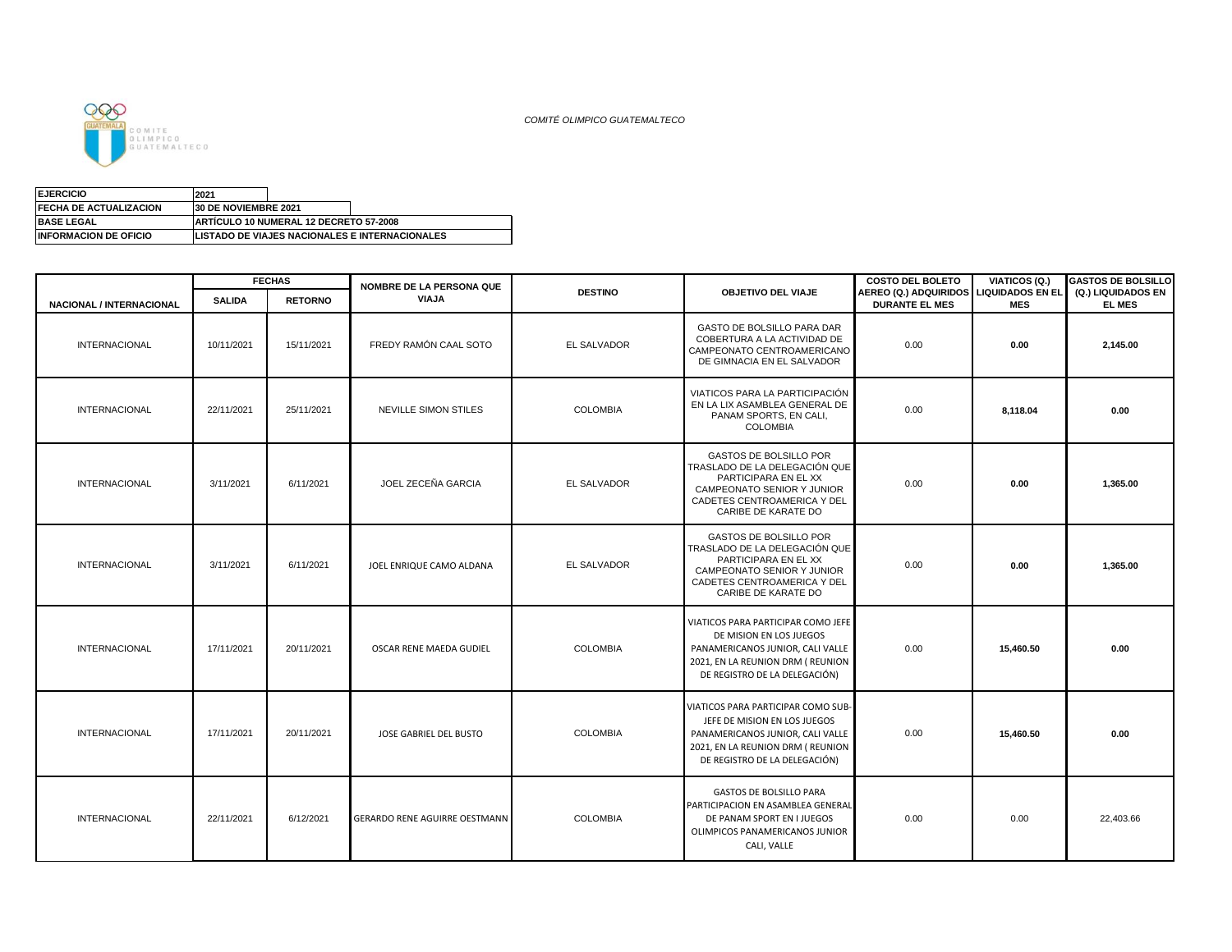

*COMITÉ OLIMPICO GUATEMALTECO*

| <b>EJERCICIO</b>               | 2021                        |                                                |                                                        |
|--------------------------------|-----------------------------|------------------------------------------------|--------------------------------------------------------|
| <b>IFECHA DE ACTUALIZACION</b> | <b>30 DE NOVIEMBRE 2021</b> |                                                |                                                        |
| <b>BASE LEGAL</b>              |                             | <b>IARTICULO 10 NUMERAL 12 DECRETO 57-2008</b> |                                                        |
| <b>INFORMACION DE OFICIO</b>   |                             |                                                | <b>ILISTADO DE VIAJES NACIONALES E INTERNACIONALES</b> |

|                                 |               | <b>FECHAS</b>  | NOMBRE DE LA PERSONA QUE      |                 |                                                                                                                                                                              | <b>COSTO DEL BOLETO</b>                                         | VIATICOS (Q.) | <b>GASTOS DE BOLSILLO</b>           |
|---------------------------------|---------------|----------------|-------------------------------|-----------------|------------------------------------------------------------------------------------------------------------------------------------------------------------------------------|-----------------------------------------------------------------|---------------|-------------------------------------|
| <b>NACIONAL / INTERNACIONAL</b> | <b>SALIDA</b> | <b>RETORNO</b> | <b>VIAJA</b>                  | <b>DESTINO</b>  | <b>OBJETIVO DEL VIAJE</b>                                                                                                                                                    | AEREO (Q.) ADQUIRIDOS LIQUIDADOS EN EL<br><b>DURANTE EL MES</b> | <b>MES</b>    | (Q.) LIQUIDADOS EN<br><b>EL MES</b> |
| INTERNACIONAL                   | 10/11/2021    | 15/11/2021     | FREDY RAMÓN CAAL SOTO         | EL SALVADOR     | GASTO DE BOLSILLO PARA DAR<br>COBERTURA A LA ACTIVIDAD DE<br>CAMPEONATO CENTROAMERICANO<br>DE GIMNACIA EN EL SALVADOR                                                        | 0.00                                                            | 0.00          | 2,145.00                            |
| INTERNACIONAL                   | 22/11/2021    | 25/11/2021     | NEVILLE SIMON STILES          | <b>COLOMBIA</b> | VIATICOS PARA LA PARTICIPACIÓN<br>EN LA LIX ASAMBLEA GENERAL DE<br>PANAM SPORTS, EN CALI,<br><b>COLOMBIA</b>                                                                 | 0.00                                                            | 8,118.04      | 0.00                                |
| <b>INTERNACIONAL</b>            | 3/11/2021     | 6/11/2021      | JOEL ZECEÑA GARCIA            | EL SALVADOR     | GASTOS DE BOLSILLO POR<br>TRASLADO DE LA DELEGACIÓN QUE<br>PARTICIPARA EN EL XX<br>CAMPEONATO SENIOR Y JUNIOR<br>CADETES CENTROAMERICA Y DEL<br>CARIBE DE KARATE DO          | 0.00                                                            | 0.00          | 1,365.00                            |
| INTERNACIONAL                   | 3/11/2021     | 6/11/2021      | JOEL ENRIQUE CAMO ALDANA      | EL SALVADOR     | GASTOS DE BOLSILLO POR<br>TRASLADO DE LA DELEGACIÓN QUE<br>PARTICIPARA EN EL XX<br>CAMPEONATO SENIOR Y JUNIOR<br>CADETES CENTROAMERICA Y DEL<br>CARIBE DE KARATE DO          | 0.00                                                            | 0.00          | 1,365.00                            |
| <b>INTERNACIONAL</b>            | 17/11/2021    | 20/11/2021     | OSCAR RENE MAEDA GUDIEL       | <b>COLOMBIA</b> | VIATICOS PARA PARTICIPAR COMO JEFE<br>DE MISION EN LOS JUEGOS<br>PANAMERICANOS JUNIOR, CALI VALLE<br>2021, EN LA REUNION DRM (REUNION<br>DE REGISTRO DE LA DELEGACIÓN)       | 0.00                                                            | 15,460.50     | 0.00                                |
| <b>INTERNACIONAL</b>            | 17/11/2021    | 20/11/2021     | JOSE GABRIEL DEL BUSTO        | <b>COLOMBIA</b> | VIATICOS PARA PARTICIPAR COMO SUB-<br>JEFE DE MISION EN LOS JUEGOS<br>PANAMERICANOS JUNIOR, CALI VALLE<br>2021, EN LA REUNION DRM ( REUNION<br>DE REGISTRO DE LA DELEGACIÓN) | 0.00                                                            | 15,460.50     | 0.00                                |
| <b>INTERNACIONAL</b>            | 22/11/2021    | 6/12/2021      | GERARDO RENE AGUIRRE OESTMANN | <b>COLOMBIA</b> | <b>GASTOS DE BOLSILLO PARA</b><br>PARTICIPACION EN ASAMBLEA GENERAL<br>DE PANAM SPORT EN I JUEGOS<br>OLIMPICOS PANAMERICANOS JUNIOR<br>CALI, VALLE                           | 0.00                                                            | 0.00          | 22,403.66                           |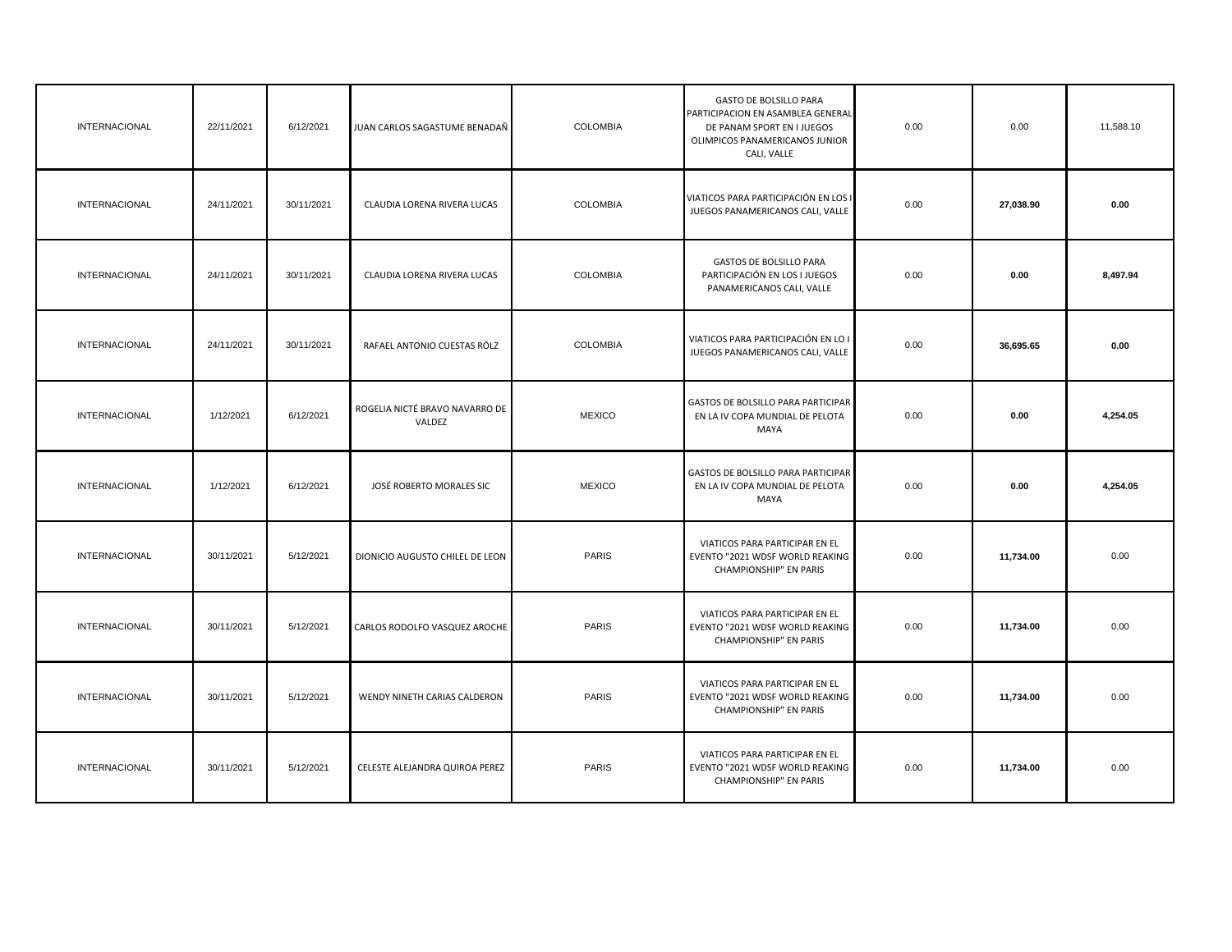| INTERNACIONAL        | 22/11/2021 | 6/12/2021  | JUAN CARLOS SAGASTUME BENADAÑ            | <b>COLOMBIA</b> | <b>GASTO DE BOLSILLO PARA</b><br>PARTICIPACION EN ASAMBLEA GENERAL<br>DE PANAM SPORT EN I JUEGOS<br>OLIMPICOS PANAMERICANOS JUNIOR<br>CALI, VALLE | 0.00 | 0.00      | 11,588.10 |
|----------------------|------------|------------|------------------------------------------|-----------------|---------------------------------------------------------------------------------------------------------------------------------------------------|------|-----------|-----------|
| INTERNACIONAL        | 24/11/2021 | 30/11/2021 | CLAUDIA LORENA RIVERA LUCAS              | COLOMBIA        | VIATICOS PARA PARTICIPACIÓN EN LOS I<br>JUEGOS PANAMERICANOS CALI, VALLE                                                                          | 0.00 | 27,038.90 | 0.00      |
| <b>INTERNACIONAL</b> | 24/11/2021 | 30/11/2021 | CLAUDIA LORENA RIVERA LUCAS              | <b>COLOMBIA</b> | GASTOS DE BOLSILLO PARA<br>PARTICIPACIÓN EN LOS I JUEGOS<br>PANAMERICANOS CALI, VALLE                                                             | 0.00 | 0.00      | 8,497.94  |
| INTERNACIONAL        | 24/11/2021 | 30/11/2021 | RAFAEL ANTONIO CUESTAS RÖLZ              | COLOMBIA        | VIATICOS PARA PARTICIPACIÓN EN LO I<br>JUEGOS PANAMERICANOS CALI, VALLE                                                                           | 0.00 | 36,695.65 | 0.00      |
| INTERNACIONAL        | 1/12/2021  | 6/12/2021  | ROGELIA NICTÉ BRAVO NAVARRO DE<br>VALDEZ | <b>MEXICO</b>   | GASTOS DE BOLSILLO PARA PARTICIPAR<br>EN LA IV COPA MUNDIAL DE PELOTA<br>MAYA                                                                     | 0.00 | 0.00      | 4,254.05  |
| <b>INTERNACIONAL</b> | 1/12/2021  | 6/12/2021  | JOSÉ ROBERTO MORALES SIC                 | <b>MEXICO</b>   | GASTOS DE BOLSILLO PARA PARTICIPAR<br>EN LA IV COPA MUNDIAL DE PELOTA<br>MAYA                                                                     | 0.00 | 0.00      | 4,254.05  |
| INTERNACIONAL        | 30/11/2021 | 5/12/2021  | DIONICIO AUGUSTO CHILEL DE LEON          | PARIS           | VIATICOS PARA PARTICIPAR EN EL<br>EVENTO "2021 WDSF WORLD REAKING<br>CHAMPIONSHIP" EN PARIS                                                       | 0.00 | 11,734.00 | 0.00      |
| INTERNACIONAL        | 30/11/2021 | 5/12/2021  | CARLOS RODOLFO VASQUEZ AROCHE            | <b>PARIS</b>    | VIATICOS PARA PARTICIPAR EN EL<br>EVENTO "2021 WDSF WORLD REAKING<br>CHAMPIONSHIP" EN PARIS                                                       | 0.00 | 11,734.00 | 0.00      |
| INTERNACIONAL        | 30/11/2021 | 5/12/2021  | WENDY NINETH CARIAS CALDERON             | PARIS           | VIATICOS PARA PARTICIPAR EN EL<br>EVENTO "2021 WDSF WORLD REAKING<br>CHAMPIONSHIP" EN PARIS                                                       | 0.00 | 11,734.00 | 0.00      |
| INTERNACIONAL        | 30/11/2021 | 5/12/2021  | CELESTE ALEJANDRA QUIROA PEREZ           | <b>PARIS</b>    | VIATICOS PARA PARTICIPAR EN EL<br>EVENTO "2021 WDSF WORLD REAKING<br>CHAMPIONSHIP" EN PARIS                                                       | 0.00 | 11,734.00 | 0.00      |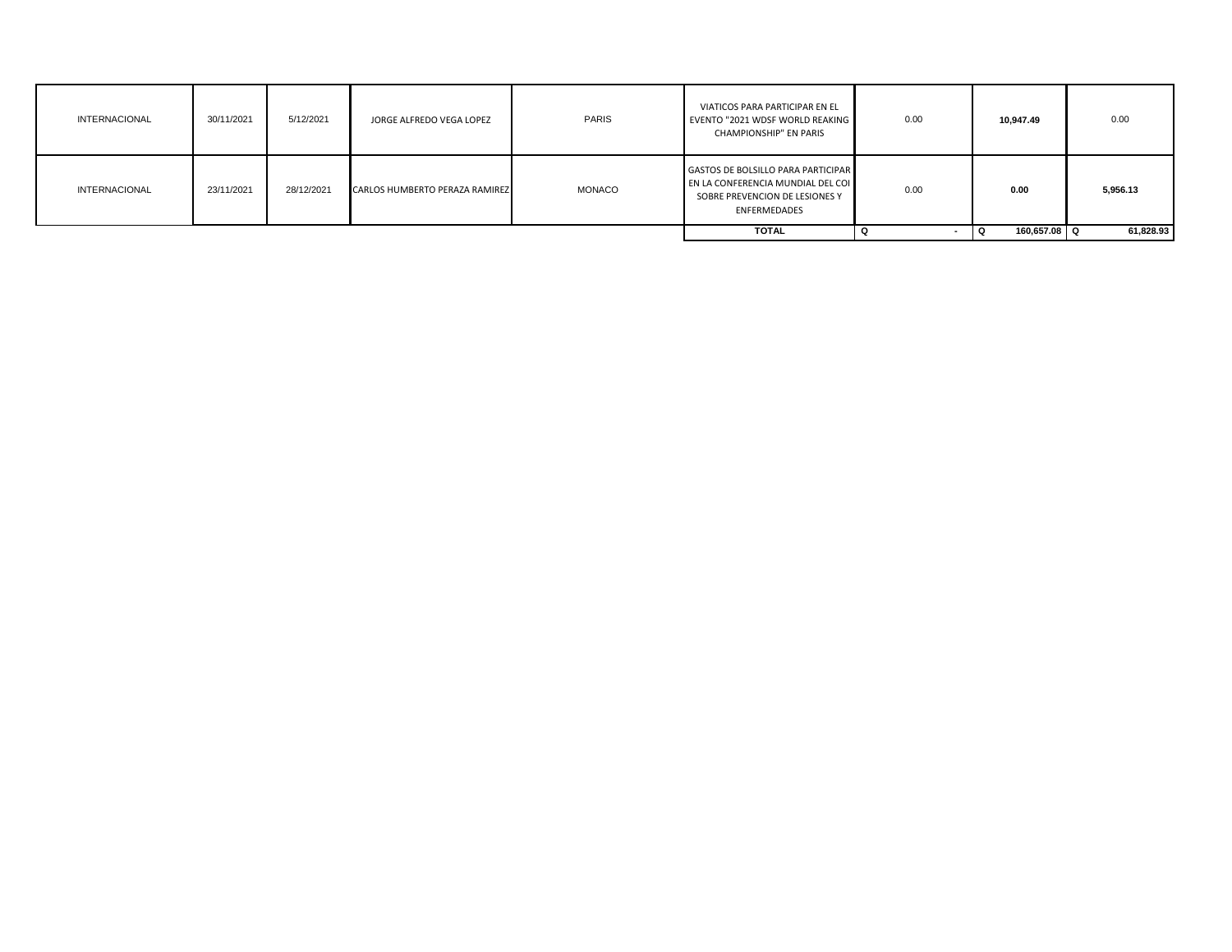| <b>INTERNACIONAL</b> | 30/11/2021 | 5/12/2021  | JORGE ALFREDO VEGA LOPEZ       | <b>PARIS</b>  | VIATICOS PARA PARTICIPAR EN EL<br>EVENTO "2021 WDSF WORLD REAKING<br>CHAMPIONSHIP" EN PARIS                                      | 0.00                     | 10,947.49         | 0.00      |
|----------------------|------------|------------|--------------------------------|---------------|----------------------------------------------------------------------------------------------------------------------------------|--------------------------|-------------------|-----------|
| <b>INTERNACIONAL</b> | 23/11/2021 | 28/12/2021 | CARLOS HUMBERTO PERAZA RAMIREZ | <b>MONACO</b> | <b>GASTOS DE BOLSILLO PARA PARTICIPAR</b><br>EN LA CONFERENCIA MUNDIAL DEL COI<br>SOBRE PREVENCION DE LESIONES Y<br>ENFERMEDADES | 0.00                     | 0.00              | 5,956.13  |
|                      |            |            |                                |               | <b>TOTAL</b>                                                                                                                     | $\overline{\phantom{a}}$ | 160.657.08 Q<br>Q | 61,828.93 |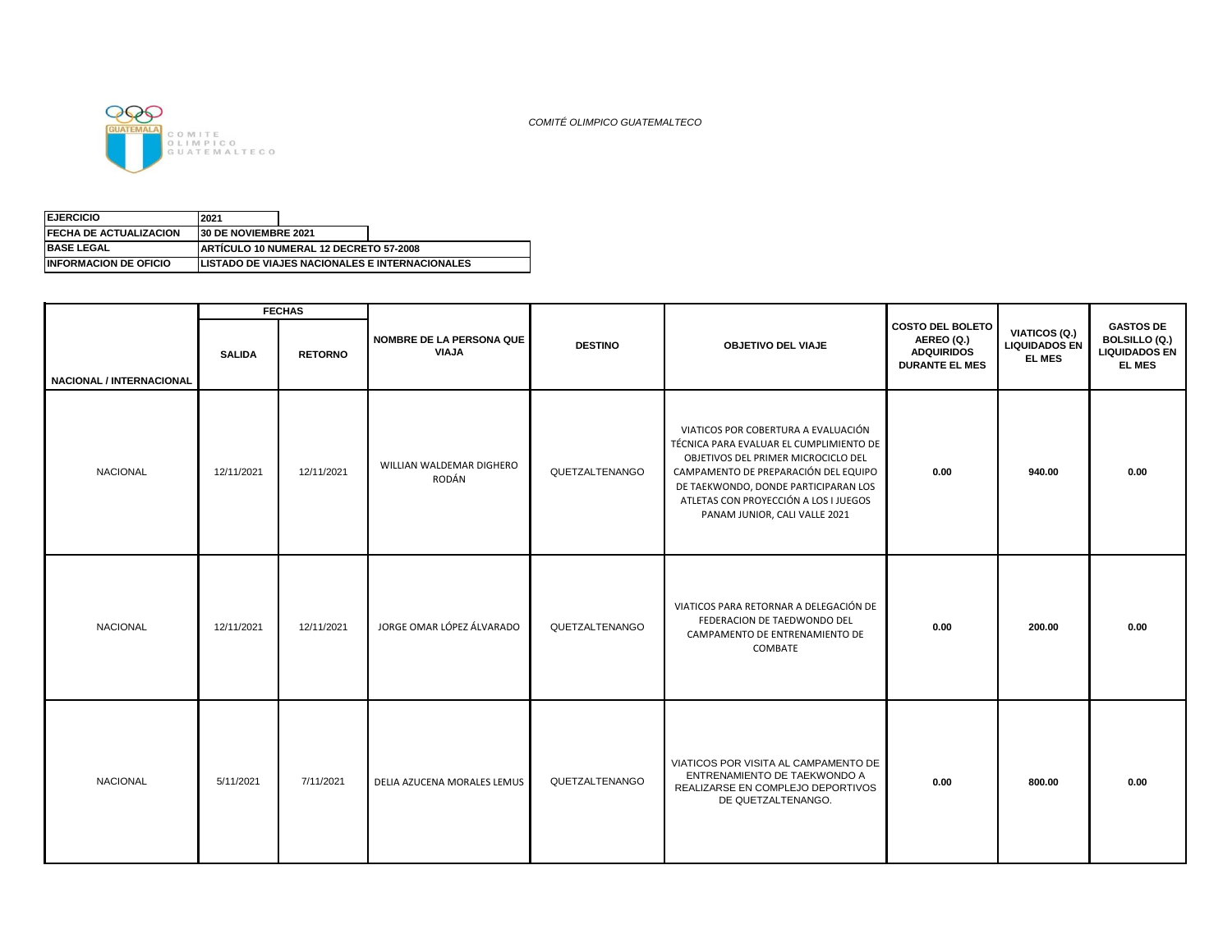

*COMITÉ OLIMPICO GUATEMALTECO*

| <b>INFORMACION DE OFICIO</b>   |                              |                                               | <b>LISTADO DE VIAJES NACIONALES E INTERNACIONALES</b> |
|--------------------------------|------------------------------|-----------------------------------------------|-------------------------------------------------------|
| <b>IBASE LEGAL</b>             |                              | <b>ARTICULO 10 NUMERAL 12 DECRETO 57-2008</b> |                                                       |
| <b>IFECHA DE ACTUALIZACION</b> | <b>130 DE NOVIEMBRE 2021</b> |                                               |                                                       |
| <b>IEJERCICIO</b>              | 2021                         |                                               |                                                       |

|                          |               | <b>FECHAS</b>  |                                   |                |                                                                                                                                                                                                                                                                                 |                                                                                     |                                                        |                                                                            |
|--------------------------|---------------|----------------|-----------------------------------|----------------|---------------------------------------------------------------------------------------------------------------------------------------------------------------------------------------------------------------------------------------------------------------------------------|-------------------------------------------------------------------------------------|--------------------------------------------------------|----------------------------------------------------------------------------|
| NACIONAL / INTERNACIONAL | <b>SALIDA</b> | <b>RETORNO</b> | NOMBRE DE LA PERSONA QUE<br>VIAJA | <b>DESTINO</b> | <b>OBJETIVO DEL VIAJE</b>                                                                                                                                                                                                                                                       | <b>COSTO DEL BOLETO</b><br>AEREO (Q.)<br><b>ADQUIRIDOS</b><br><b>DURANTE EL MES</b> | VIATICOS (Q.)<br><b>LIQUIDADOS EN</b><br><b>EL MES</b> | <b>GASTOS DE</b><br>BOLSILLO (Q.)<br><b>LIQUIDADOS EN</b><br><b>EL MES</b> |
| <b>NACIONAL</b>          | 12/11/2021    | 12/11/2021     | WILLIAN WALDEMAR DIGHERO<br>RODÁN | QUETZALTENANGO | VIATICOS POR COBERTURA A EVALUACIÓN<br>TÉCNICA PARA EVALUAR EL CUMPLIMIENTO DE<br>OBJETIVOS DEL PRIMER MICROCICLO DEL<br>CAMPAMENTO DE PREPARACIÓN DEL EQUIPO<br>DE TAEKWONDO, DONDE PARTICIPARAN LOS<br>ATLETAS CON PROYECCIÓN A LOS I JUEGOS<br>PANAM JUNIOR, CALI VALLE 2021 | 0.00                                                                                | 940.00                                                 | 0.00                                                                       |
| <b>NACIONAL</b>          | 12/11/2021    | 12/11/2021     | JORGE OMAR LÓPEZ ÁLVARADO         | QUETZALTENANGO | VIATICOS PARA RETORNAR A DELEGACIÓN DE<br>FEDERACION DE TAEDWONDO DEL<br>CAMPAMENTO DE ENTRENAMIENTO DE<br>COMBATE                                                                                                                                                              | 0.00                                                                                | 200.00                                                 | 0.00                                                                       |
| <b>NACIONAL</b>          | 5/11/2021     | 7/11/2021      | DELIA AZUCENA MORALES LEMUS       | QUETZALTENANGO | VIATICOS POR VISITA AL CAMPAMENTO DE<br>ENTRENAMIENTO DE TAEKWONDO A<br>REALIZARSE EN COMPLEJO DEPORTIVOS<br>DE QUETZALTENANGO.                                                                                                                                                 | 0.00                                                                                | 800.00                                                 | 0.00                                                                       |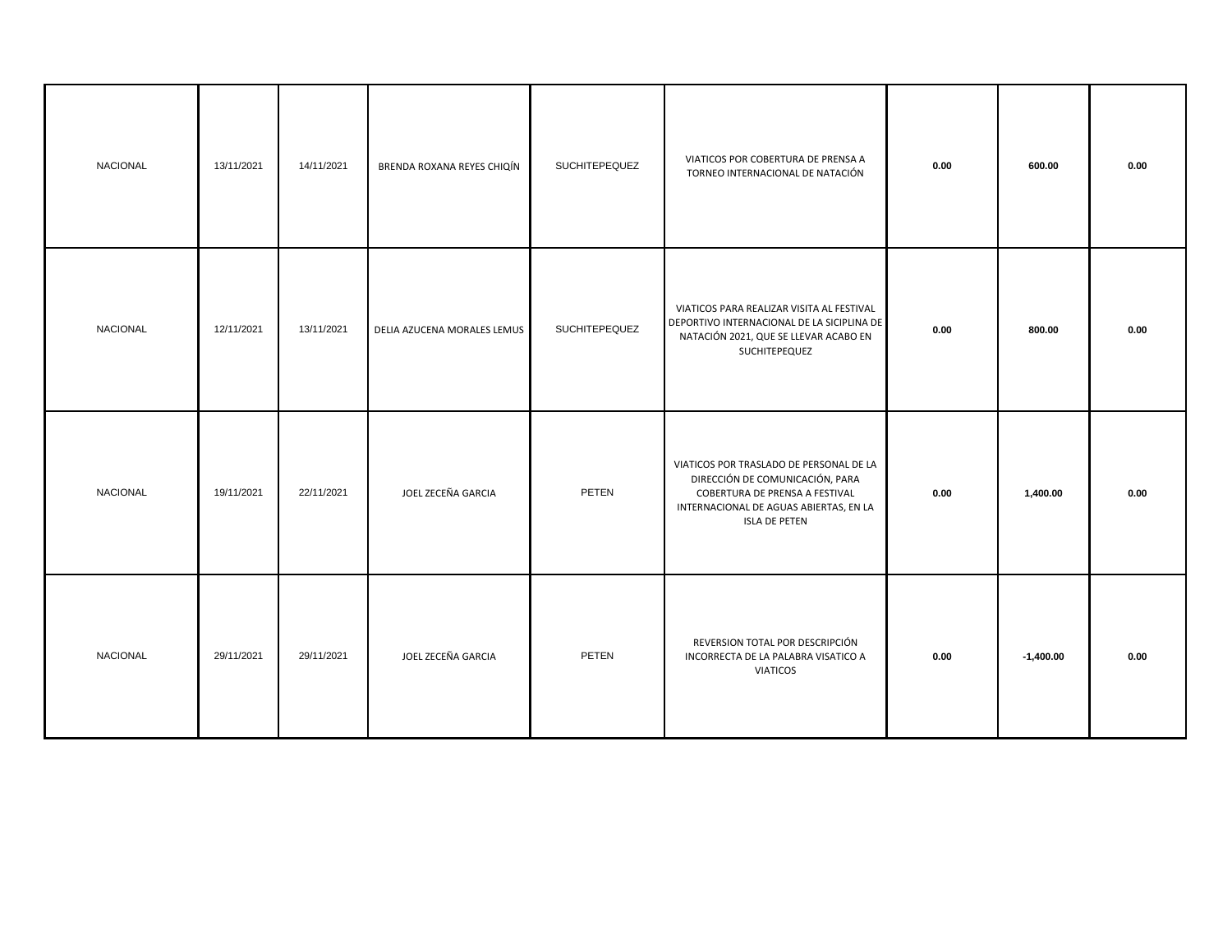| <b>NACIONAL</b> | 13/11/2021 | 14/11/2021 | BRENDA ROXANA REYES CHIQÍN  | <b>SUCHITEPEQUEZ</b> | VIATICOS POR COBERTURA DE PRENSA A<br>TORNEO INTERNACIONAL DE NATACIÓN                                                                                                         | 0.00 | 600.00      | 0.00 |
|-----------------|------------|------------|-----------------------------|----------------------|--------------------------------------------------------------------------------------------------------------------------------------------------------------------------------|------|-------------|------|
| NACIONAL        | 12/11/2021 | 13/11/2021 | DELIA AZUCENA MORALES LEMUS | <b>SUCHITEPEQUEZ</b> | VIATICOS PARA REALIZAR VISITA AL FESTIVAL<br>DEPORTIVO INTERNACIONAL DE LA SICIPLINA DE<br>NATACIÓN 2021, QUE SE LLEVAR ACABO EN<br>SUCHITEPEQUEZ                              | 0.00 | 800.00      | 0.00 |
| <b>NACIONAL</b> | 19/11/2021 | 22/11/2021 | JOEL ZECEÑA GARCIA          | PETEN                | VIATICOS POR TRASLADO DE PERSONAL DE LA<br>DIRECCIÓN DE COMUNICACIÓN, PARA<br>COBERTURA DE PRENSA A FESTIVAL<br>INTERNACIONAL DE AGUAS ABIERTAS, EN LA<br><b>ISLA DE PETEN</b> | 0.00 | 1,400.00    | 0.00 |
| NACIONAL        | 29/11/2021 | 29/11/2021 | JOEL ZECEÑA GARCIA          | PETEN                | REVERSION TOTAL POR DESCRIPCIÓN<br>INCORRECTA DE LA PALABRA VISATICO A<br><b>VIATICOS</b>                                                                                      | 0.00 | $-1,400.00$ | 0.00 |